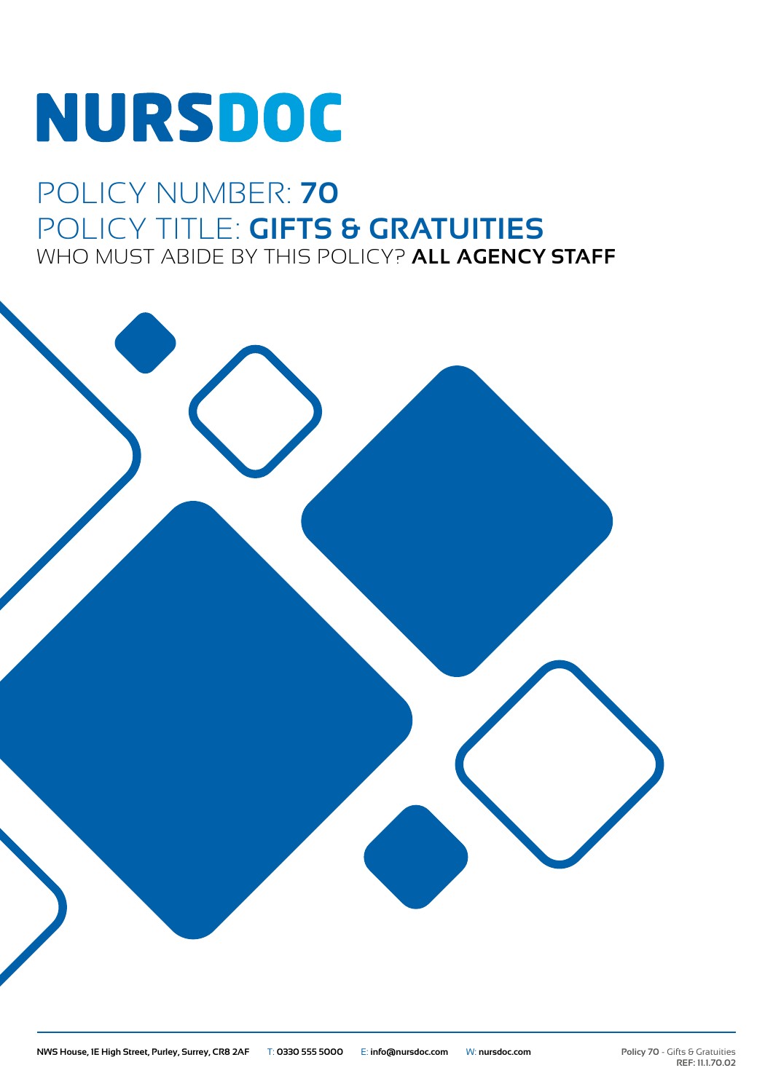# **NURSDOC**

### POLICY NUMBER: **70** POLICY TITLE: **GIFTS & GRATUITIES** WHO MUST ABIDE BY THIS POLICY? **ALL AGENCY STAFF**